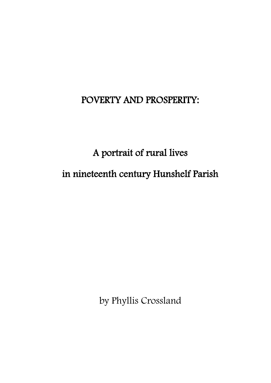## POVERTY AND PROSPERITY:

A portrait of rural lives in nineteenth century Hunshelf Parish

by Phyllis Crossland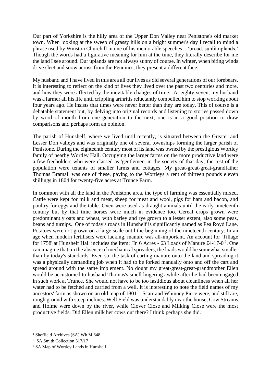Our part of Yorkshire is the hilly area of the Upper Don Valley near Penistone's old market town. When looking at the sweep of grassy hills on a bright summer's day I recall to mind a phrase used by Winston Churchill in one of his memorable speeches – 'broad, sunlit uplands.' Though the words had a figurative meaning for him at the time, they literally describe for me the land I see around. Our uplands are not always sunny of course. In winter, when biting winds drive sleet and snow across from the Pennines, they present a different face.

My husband and I have lived in this area all our lives as did several generations of our forebears. It is interesting to reflect on the kind of lives they lived over the past two centuries and more, and how they were affected by the inevitable changes of time. At eighty-seven, my husband was a farmer all his life until crippling arthritis reluctantly compelled him to stop working about four years ago. He insists that times were never better than they are today. This of course is a debatable statement but, by delving into original records and listening to stories passed down by word of mouth from one generation to the next, one is in a good position to draw comparisons and perhaps form an opinion.

The parish of Hunshelf, where we lived until recently, is situated between the Greater and Lesser Don valleys and was originally one of several townships forming the larger parish of Penistone. During the eighteenth century most of its land was owned by the prestigious Wortley family of nearby Wortley Hall. Occupying the larger farms on the more productive land were a few freeholders who were classed as 'gentlemen' in the society of that day; the rest of the population were tenants of smaller farms and cottages. My great-great-great-grandfather Thomas Bramall was one of these, paying to the Wortleys a rent of thirteen pounds eleven shillings in 1804 for twenty-five acres at Trunce Farm.<sup>1</sup>

In common with all the land in the Penistone area, the type of farming was essentially mixed. Cattle were kept for milk and meat, sheep for meat and wool, pigs for ham and bacon, and poultry for eggs and the table. Oxen were used as draught animals until the early nineteenth century but by that time horses were much in evidence too. Cereal crops grown were predominantly oats and wheat, with barley and rye grown to a lesser extent, also some peas, beans and turnips. One of today's roads in Hunshelf is significantly named as Pea Royd Lane. Potatoes were not grown on a large scale until the beginning of the nineteenth century. In an age when modern fertilisers were lacking, manure was all-important. An account for 'Tillage for 1758' at Hunshelf Hall includes the item: `In 6 Acres - 63 Loads of Manure £4-17-0<sup>'2</sup>. One can imagine that, in the absence of mechanical spreaders, the loads would be somewhat smaller than by today's standards. Even so, the task of carting manure onto the land and spreading it was a physically demanding job when it had to be forked manually onto and off the cart and spread around with the same implement. No doubt my great-great-great-grandmother Ellen would be accustomed to husband Thomas's smell lingering awhile after he had been engaged in such work at Trunce. She would not have to be too fastidious about cleanliness when all her water had to be fetched and carried from a well. It is interesting to note the field names of my ancestors' farm as shown on an old map of 1801<sup>3</sup>. Scarr and Whinney Piece were, and still are, rough ground with steep inclines. Well Field was understandably near the house, Cow Streams and Holme were down by the river, while Clover Close and Milking Close were the most productive fields. Did Ellen milk her cows out there? I think perhaps she did.

 $1$  Sheffield Archives (SA) Wh M 648

<sup>&</sup>lt;sup>2</sup> SA Smith Collection 517/17

<sup>&</sup>lt;sup>3</sup> SA Map of Wortley Lands in Hunshelf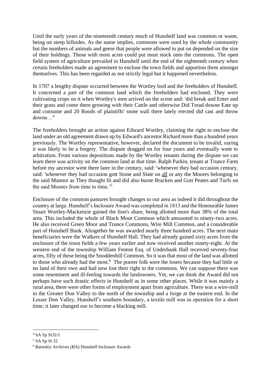Until the early years of the nineteenth century much of Hunshelf land was common or waste, being on steep hillsides. As the name implies, commons were used by the whole community but the numbers of animals and geese that people were allowed to put on depended on the size of their holdings. Those with most acres could put most stock onto the commons. The open field system of agriculture prevailed in Hunshelf until the end of the eighteenth century when certain freeholders made an agreement to enclose the town fields and apportion them amongst themselves. This has been regarded as not strictly legal but it happened nevertheless.

In 1707 a lengthy dispute occurred between the Wortley lord and the freeholders of Hunshelf. It concerned a part of the common land which the freeholders had enclosed. They were cultivating crops on it when Wortley's men arrived on the scene and: 'did break and Enter and their grass and come there growing with their Cattle and otherwise Did Tread downe Eate up and consume and 20 Roods of plaintiffs' stone wall there lately erected did cast and throw downe…<sup>4</sup>

The freeholders brought an action against Edward Wortley, claiming the right to enclose the land under an old agreement drawn up by Edward's ancestor Richard more than a hundred years previously. The Wortley representative, however, declared the document to be invalid, saying it was likely to be a forgery. The dispute dragged on for four years and eventually went to arbitration. From various depositions made by the Wortley tenants during the dispute we can learn there was activity on the common land at that time. Ralph Parkin, tenant at Trunce Farm before my ancestor went there later in the century, said: 'whenever they had occasion century, said: 'whenever they had occasion gott Stone and Slate on all or any the Moores belonging to the said Mannor as They thought fit and did also burne Bracken and Gott Peates and Turfs on the said Moores from time to time.'<sup>5</sup>

Enclosure of the common pastures brought changes to our area as indeed it did throughout the country at large. Hunshelf's Inclosure Award was completed in 1813 and the Honourable James Stuart Wortley-Mackenzie gained the lion's share, being allotted more than 38% of the total area. This included the whole of Black Moor Common which amounted to ninety-two acres. He also received Green Moor and Trunce Commons, Wire Mill Common, and a considerable part of Hunshelf Bank. Altogether he was awarded nearly three hundred acres. The next main beneficiaries were the Walkers of Hunshelf Hall. They had already gained sixty acres from the enclosure of the town fields a few years earlier and now received another ninety-eight. At the western end of the township William Fenton Esq. of Underbank Hall received seventy-four acres, fifty of these being the Snoddenhill Common. So it was that most of the land was allotted to those who already had the most.<sup>6</sup> The poorer folk were the losers because they had little or no land of their own and had now lost their right to the commons. We can suppose there was some resentment and ill-feeling towards the landowners. Yet, we can think the Award did not perhaps have such drastic effects in Hunshelf as in some other places. While it was mainly a rural area, there were other forms of employment apart from agriculture. There was a wire-mill in the Greater Don Valley to the north of the township and a forge at the eastern end. In the Lesser Don Valley, Hunshelf's southern boundary, a textile mill was in operation for a short time; it later changed use to become a blacking mill.

<sup>4</sup> SA Sp St32/1

<sup>5</sup> SA Sp St 32

<sup>6</sup> Barnsley Archives (BA) Hunshelf Inclosure Awards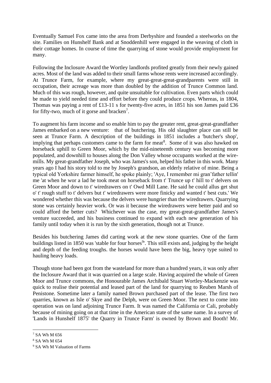Eventually Samuel Fox came into the area from Derbyshire and founded a steelworks on the site. Families on Hunshelf Bank and at Snoddenhill were engaged in the weaving of cloth in their cottage homes. In course of time the quarrying of stone would provide employment for many.

Following the Inclosure Award the Wortley landlords profited greatly from their newly gained acres. Most of the land was added to their small farms whose rents were increased accordingly. At Trunce Farm, for example, where my great-great-great-grandparents were still in occupation, their acreage was more than doubled by the addition of Trunce Common land. Much of this was rough, however, and quite unsuitable for cultivation. Even parts which could be made to yield needed time and effort before they could produce crops. Whereas, in 1804, Thomas was paying a rent of £13-11 s for twenty-five acres, in 1851 his son James paid £36 for fifty-two, much of it gorse and bracken<sup>7</sup>.

To augment his farm income and so enable him to pay the greater rent, great-great-grandfather James embarked on a new venture: that of butchering. His old slaughter place can still be seen at Trunce Farm. A description of the buildings in 1851 includes a 'butcher's shop', implying that perhaps customers came to the farm for meat<sup>8</sup>. Some of it was also hawked on horseback uphill to Green Moor, which by the mid-nineteenth century was becoming more populated, and downhill to houses along the Don Valley whose occupants worked at the wiremills. My great-grandfather Joseph, who was James's son, helped his father in this work. Many years ago I had his story told to me by Joseph's grandson, an elderly relative of mine. Being a typical old Yorkshire farmer himself, he spoke plainly; 'Aye, I remember mi gran'father tellin' me 'at when he wor a lad he took meat on horseback from t' Trunce up t' hill to t' delvers on Green Moor and down to t' wiredrawers on t' Owd Mill Lane. He said he could allus get shut o' t' rough stuff to t' delvers but t' wiredrawers were more finicky and wanted t' best cuts.' We wondered whether this was because the delvers were hungrier than the wiredrawers. Quarrying stone was certainly heavier work. Or was it because the wiredrawers were better paid and so could afford the better cuts? Whichever was the case, my great-great-grandfather James's venture succeeded, and his business continued to expand with each new generation of his family until today when it is run by the sixth generation, though not at Trunce.

Besides his butchering James did carting work at the new stone quarries. One of the farm buildings listed in 1850 was 'stable for four horses<sup>9</sup>'. This still exists and, judging by the height and depth of the feeding troughs. the horses would have been the big, heavy type suited to hauling heavy loads.

Though stone had been got from the wasteland for more than a hundred years, it was only after the Inclosure Award that it was quarried on a large scale. Having acquired the whole of Green Moor and Trunce commons, the Honourable James Archibald Stuart Wortley-Mackenzie was quick to realise their potential and leased part of the land for quarrying to Reuben Marsh of Penistone. Sometime later a family named Brown purchased part of the lease. The first two quarries, known as Isle o' Skye and the Delph, were on Green Moor. The next to come into operation was on land adjoining Trunce Farm. It was named the California or Cali, probably because of mining going on at that time in the American state of the same name. In a survey of 'Lands in Hunshelf 1875' the Quarry in Trunce Farm' is owned by Brown and Booth! Mr.

<sup>7</sup> SA Wh M 656

<sup>8</sup> SA Wh M 654

<sup>9</sup> SA Wh M Valuation of Farms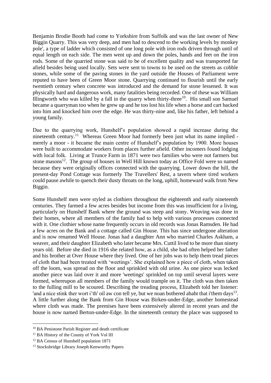Benjamin Brodie Booth had come to Yorkshire from Suffolk and was the last owner of New Biggin Quarry. This was very deep, and men had to descend to the working levels by monkey pole', a type of ladder which consisted of one long pole with iron rods driven through until of equal length on each side. The men went up and down the poles, hands and feet on the iron rods. Some of the quarried stone was said to be of excellent quality and was transported far afield besides being used locally. Sets were sent to towns to be used on the streets as cobble stones, while some of the paving stones in the yard outside the Houses of Parliament were reputed to have been of Green Moor stone. Quarrying continued to flourish until the early twentieth century when concrete was introduced and the demand for stone lessened. It was physically hard and dangerous work, many fatalities being recorded. One of these was William Illingworth who was killed by a fall in the quarry when thirty-three<sup>10</sup>. His small son Samuel became a quarryman too when he grew up and he too lost his life when a horse and cart backed into him and knocked him over the edge. He was thirty-nine and, like his father, left behind a young family.

Due to the quarrying work, Hunshelf's population showed a rapid increase during the nineteenth century.<sup>11</sup> Whereas Green Moor had formerly been just what its name implied merely a moor - it became the main centre of Hunshelf's population by 1900. More houses were built to accommodate workers from places further afield. Other incomers found lodging with local folk. Living at Trunce Farm in 1871 were two families who were not farmers but stone masons<sup>12</sup>. The group of houses in Well Hill known today as Office Fold were so named because they were originally offices connected with the quarrying. Lower down the hill, the present-day Pond Cottage was formerly The Travellers' Rest, a tavern where tired workers could pause awhile to quench their dusty throats on the long, uphill, homeward walk from New Biggin.

Some Hunshelf men were styled as clothiers throughout the eighteenth and early nineteenth centuries. They farmed a few acres besides but income from this was insufficient for a living, particularly on Hunshelf Bank where the ground was steep and stony. Weaving was done in their homes, where all members of the family had to help with various processes connected with it. One clothier whose name frequently occurs in old records was Jonas Ramsden. He had a few acres on the Bank and a cottage called Gin House. This has since undergone alteration and is now renamed Well House. Jonas had a daughter Ann who married Charles Askham, a weaver, and their daughter Elizabeth who later became Mrs. Cuttil lived to be more than ninety years old. Before she died in 1916 she related how, as a child, she had often helped her father and his brother at Over House where they lived. One of her jobs was to help them tread pieces of cloth that had been treated with 'weetings'. She explained how a piece of cloth, when taken off the loom, was spread on the floor and sprinkled with old urine. As one piece was lecked another piece was laid over it and more 'weetings' sprinkled on top until several layers were formed, whereupon all members of the family would trample on it. The cloth was then taken to the fulling mill to be scoured. Describing the treading process, Elizabeth told her listener: 'and a nice stink ther wort i'th' oil aw con tell ye, but we noan bothered abaht that i'them days<sup>13</sup>. A little further along the Bank from Gin House was Birken-under-Edge, another homestead where cloth was made. The premises have been extensively altered in recent years and the house is now named Berton-under-Edge. In the nineteenth century the place was supposed to

<sup>10</sup> BA Penistone Parish Register and death certificate

<sup>11</sup> BA History of the County of York Vol III

<sup>&</sup>lt;sup>12</sup> BA Census of Hunshelf population 1871

<sup>&</sup>lt;sup>13</sup> Stocksbridge Library Joseph Kenworthy Papers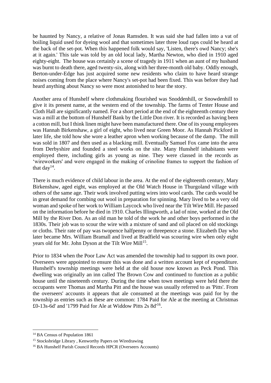be haunted by Nancy, a relative of Jonas Ramsden. It was said she had fallen into a vat of boiling liquid used for dyeing wool and that sometimes later three loud raps could be heard at the back of the set-pot. When this happened folk would say, 'Listen, there's owd Nancy; she's at it again.' This tale was told by an old local lady, Martha Newton, who died in 1910 aged eighty-eight. The house was certainly a scene of tragedy in 1911 when an aunt of my husband was burnt to death there, aged twenty-six, along with her three-month old baby. Oddly enough, Berton-under-Edge has just acquired some new residents who claim to have heard strange noises coming from the place where Nancy's set-pot had been fixed. This was before they had heard anything about Nancy so were most astonished to hear the story.

Another area of Hunshelf where clothmaking flourished was Snoddenhill, or Snowdenhill to give it its present name, at the western end of the township. The farms of Tenter House and Cloth Hall are significantly named. For a short period at the end of the eighteenth century there was a mill at the bottom of Hunshelf Bank by the Little Don river. It is recorded as having been a cotton mill, but I think linen might have been manufactured there. One of its young employees was Hannah Birkenshaw, a girl of eight, who lived near Green Moor. As Hannah Pickford in later life, she told how she wore a leather apron when working because of the damp. The mill was sold in 1807 and then used as a blacking mill. Eventually Samuel Fox came into the area from Derbyshire and founded a steel works on the site. Many Hunshelf inhabitants were employed there, including girls as young as nine. They were classed in the records as 'wireworkers' and were engaged in the making of crinoline frames to support the fashion of that day<sup>14</sup>.

There is much evidence of child labour in the area. At the end of the eighteenth century, Mary Birkenshaw, aged eight, was employed at the Old Watch House in Thurgoland village with others of the same age. Their work involved putting wires into wool cards. The cards would be in great demand for combing out wool in preparation for spinning. Mary lived to be a very old woman and spoke of her work to William Laycock who lived near the Tilt Wire Mill. He passed on the information before he died in 1910. Charles Illingworth, a lad of nine, worked at the Old Mill by the River Don. As an old man he told of the work he and other boys performed in the 1830s. Their job was to scour the wire with a mixture of sand and oil placed on old stockings or cloths. Their rate of pay was twopence halfpenny or threepence a stone. Elizabeth Day who later became Mrs. William Bramall and lived at Bradfield was scouring wire when only eight years old for Mr. John Dyson at the Tilt Wire Mill<sup>15</sup>.

Prior to 1834 when the Poor Law Act was amended the township had to support its own poor. Overseers were appointed to ensure this was done and a written account kept of expenditure. Hunshelf's township meetings were held at the old house now known as Peck Pond. This dwelling was originally an inn called The Brown Cow and continued to function as a public house until the nineteenth century. During the time when town meetings were held there the occupants were Thomas and Martha Pitt and the house was usually referred to as 'Pitts'. From the overseers' accounts it appears that ale consumed at the meetings was paid for by the township as entries such as these are common: 1784 Paid for Ale at the meeting at Christmas £0-13s-6d' and '1799 Paid for Ale at Widdow Pitts 2s 8d'<sup>16</sup> .

<sup>&</sup>lt;sup>14</sup> BA Census of Population 1861

<sup>&</sup>lt;sup>15</sup> Stocksbridge Library, Kenworthy Papers on Wiredrawing

<sup>&</sup>lt;sup>16</sup> BA Hunshelf Parish Council Records HPCR (Overseers Accounts)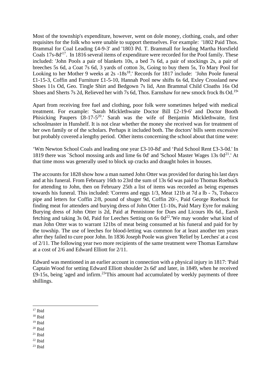Most of the township's expenditure, however, went on dole money, clothing, coals, and other requisites for the folk who were unable to support themselves. For example: '1802 Paid Thos. Brammal for Coal Leading £4-9-3' and '1803 Pd. T. Brammall for leading Martha Horsfield Coals 17s-8d'<sup>17</sup>. In 1816 several items of expenditure were recorded for the Pool family. These included: 'John Pools a pair of blankets 10s, a bed 7s 6d, a pair of stockings 2s, a pair of breeches 5s 6d, a Coat 7s 6d, 3 yards of cotton 3s, Going to buy them 5s, To Mary Pool for Looking to her Mother 9 weeks at 2s -18s<sup>18</sup>.' Records for 1817 include: 'John Poole funeral £1-15-3, Coffin and Furniture £1-5-10, Hannah Pool new shifts 6s 6d, Exley Crossland new Shoes 11s Od, Geo. Tingle Shirt and Bedgown 7s lid, Ann Brammal Child Cloaths 16s Od Shoes and Sherts 7s 2d, Relieved her with 7s 6d, Thos. Earnshaw for new smock frock 8s Od.<sup>19</sup>

Apart from receiving free fuel and clothing, poor folk were sometimes helped with medical treatment. For example: 'Sarah Micklethwaite Doctor Bill £2-19-6' and Doctor Booth Phisicking Paupers  $\pounds 8$ -17-5<sup>20</sup>.' Sarah was the wife of Benjamin Micklethwaite, first schoolmaster in Hunshelf. It is not clear whether the money she received was for treatment of her own family or of the scholars. Perhaps it included both. The doctors' bills seem excessive but probably covered a lengthy period. Other items concerning the school about that time were:

'Wm Newton School Coals and leading one year £3-10-8d' and 'Paid School Rent £3-3-0d.' In 1819 there was `School mossing ards and lime 6s 0d' and 'School Master Wages 13s  $0d^{21}$ .' At that time moss was generally used to block up cracks and draught holes in houses.

The accounts for 1828 show how a man named John Otter was provided for during his last days and at his funeral. From February 16th to 23rd the sum of 13s 6d was paid to Thomas Roebuck for attending to John, then on February 25th a list of items was recorded as being expenses towards his funeral. This included: 'Correns and eggs 1/3, Meat 121b at 7d a lb - 7s, Tobacco pipe and letters for Coffin 2/8, pound of shuger 9d, Coffin 20/-, Paid George Roebuck for finding meat for attenders and burying dress of John Otter £1-10s, Paid Mary Eyre for making Burying dress of John Otter is 2d, Paid at Pennistone for Dues and Licours l0s 6d., Earsh fetching and taking 3s 0d, Paid for Leeches Setting on 6s  $0d^{22}$ . We may wonder what kind of man John Otter was to warrant 121bs of meat being consumed at his funeral and paid for by the towship. The use of leeches for blood-letting was common for at least another ten years after they failed to cure poor John. In 1836 Joseph Poole was given 'Relief by Leeches' at a cost of 2/11. The following year two more recipients of the same treatment were Thomas Earnshaw at a cost of 2/6 and Edward Elliott for 2/11.

Edward was mentioned in an earlier account in connection with a physical injury in 1817: 'Paid Captain Wood for setting Edward Elliott shoulder 2s 6d' and later, in 1849, when he received £9-15s, being 'aged and infirm.<sup>23</sup>'This amount had accumulated by weekly payments of three shillings.

- $19$  Ibid
- $20$  Ibid
- $21$  Ibid

 $22$  Ibid

 $23$  Ibid

 $17$  Ibid

<sup>18</sup> Ibid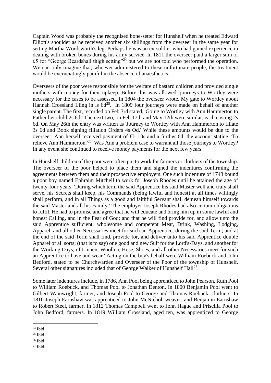Captain Wood was probably the recognised bone-setter for Hunshelf when he treated Edward Elliott's shoulder as he received another six shillings from the overseer in the same year for setting Martha Wordsworth's leg. Perhaps he was an ex-soldier who had gained experience in dealing with broken bones during his army service. In 1811 the overseer paid a larger sum of £5 for "George Beardshall thigh setting"<sup>24</sup> but we are not told who performed the operation. We can only imagine that, whoever administered to these unfortunate people, the treatment would be excruciatingly painful in the absence of anaesthetics.

Overseers of the poor were responsible for the welfare of bastard children and provided single mothers with money for their upkeep. Before this was allowed, journeys to Wortley were necessary for the cases to be assessed. In 1804 the overseer wrote, My gate to Wortley about Hannah Crossland Liing in ls  $6d^{25}$ . In 1809 four journeys were made on behalf of another single parent. The first, recorded on Feb.3rd stated, 'Going to Wortley with Ann Hammerton to Father her child 2s 6d.' The next two, on Feb.17th and May 12th were similar, each costing 2s 6d. On May 26th the entry was written as 'Journey to Wortley with Ann Hammerton to filiate 3s 6d and Book signing filiation Orders 4s Od.' While these amounts would be due to the overseer, Ann herself received payment of £l- 10s and a further 6d, the account stating 'To relieve Ann Hammerton.<sup>'26</sup> Was Ann a problem case to warrant all those journeys to Wortley? In any event she continued to receive money payments for the next few years.

In Hunshelf children of the poor were often put to work for farmers or clothiers of the township. The overseer of the poor helped to place them and signed the indentures confirming the agreements between them and their prospective employers. One such indenture of 1743 bound a poor boy named Ephraim Mitchell to work for Joseph Rhodes until he attained the age of twenty-four years: 'During which term the said Apprentice his said Master well and truly shall serve, his Secrets shall keep, his Commands (being lawful and honest) at all times willingly shall perform, and in all Things as a good and faithful Servant shall demean himself towards the said Master and all his Family.' The employer Joseph Rhodes had also certain obligations to fulfil. He had to promise and agree that he will educate and bring him up in some lawful and honest Calling, and in the Fear of God; and that he will find provide for, and allow unto the said Apprentice sufficient, wholesome and competent Meat, Drink, Washing, Lodging, Apparel, and all other Necessaries meet for such an Apprentice, during the said Term; and at the end of the said Term shall find, provide for, and deliver unto his said Apprentice double Apparel of all sorts; (that is to say) one good and new Suit for the Lord's-Days, and another for the Working Days, of Linnen, Woollen, Hose, Shoes, and all other Necessaries meet for such an Apprentice to have and wear.' Acting on the boy's behalf were William Roebuck and John Bedford, stated to be Churchwarden and Overseer of the Poor of the township of Hunshelf. Several other signatures included that of George Walker of Hunshelf Hall<sup>27</sup>.

Some later indentures include, in 1786, Ann Pool being apprenticed to John Pearson, Ruth Pool to William Roebuck, and Thomas Pool to Jonathan Denton. In 1800 Benjamin Pool went to Gilbert Wainwright, farmer, and Joseph Pool to George and Thomas Roebuck, clothiers. In 1810 Joseph Earnshaw was apprenticed to John McNichol, weaver, and Benjamin Earnshaw to Robert Steel, farmer. In 1812 Thomas Campbell went to John Hague and Priscilla Pool to John Bedford, farmers. In 1819 William Crossland, aged ten, was apprenticed to George

 $27$  Ibid

 $24$  Ibid

<sup>25</sup> Ibid

<sup>26</sup> Ibid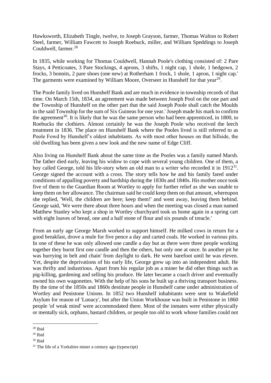Hawksworth, Elizabeth Tingle, twelve, to Joseph Grayson, farmer, Thomas Walton to Robert Steel, farmer, William Fawcett to Joseph Roebuck, miller, and William Speddings to Joseph Couldwell, farmer.<sup>28</sup>

In 1835, while working for Thomas Couldwell, Hannah Poole's clothing consisted of: 2 Pare Stays, 4 Petticoates, 3 Pare Stockings, 4 aprons, 3 shifts, 1 night cap, 1 shole, 1 bedgown, 2 frocks, 3 bonnits, 2 pare shoes (one new) at Rotherham 1 frock, 1 shole, 1 apron, 1 night cap.' The garments were examined by William Moore, Overseer in Hunshelf for that year<sup>29</sup>.

The Poole family lived on Hunshelf Bank and are much in evidence in township records of that time. On March 15th, 1834, an agreement was made between Joseph Pool on the one part and the Township of Hunshelf on the other part that the said Joseph Poole shall catch the Moulds in the said Township for the sum of Six Guineas for one year.' Joseph made his mark to confirm the agreement<sup>30</sup>. It is likely that he was the same person who had been apprenticed, in 1800, to Roebucks the clothiers. Almost certainly he was the Joseph Poole who received the leech treatment in 1836. The place on Hunshelf Bank where the Pooles lived is still referred to as Poole Fowd by Hunshelf's oldest inhabitants. As with most other houses on that hillside, the old dwelling has been given a new look and the new name of Edge Cliff.

Also living on Hunshelf Bank about the same time as the Pooles was a family named Marsh. The father died early, leaving his widow to cope with several young children. One of them, a boy called George, told his life-story when an old man to a writer who recorded it in  $1912^{31}$ . George signed the account with a cross. The story tells how he and his family fared under conditions of appalling poverty and hardship during the 1830s and 1840s. His mother once took five of them to the Guardian Room at Wortley to apply for further relief as she was unable to keep them on her allowance. The chairman said he could keep them on that amount, whereupon she replied, 'Well, the children are here; keep them!' and went away, leaving them behind. George said, 'We were there about three hours and when the meeting was closed a man named Matthew Stanley who kept a shop in Wortley churchyard took us home again in a spring cart with eight loaves of bread, one and a half stone of flour and six pounds of treacle.'

From an early age George Marsh worked to support himself. He milked cows in return for a good breakfast, drove a mule for five pence a day and carted coals. He worked in various pits. In one of these he was only allowed one candle a day but as there were three people working together they burnt first one candle and then the others, but only one at once. In another pit he was hurrying in belt and chain' from daylight to dark. He went barefoot until he was eleven. Yet, despite the deprivations of his early life, George grew up into an independent adult. He was thrifty and industrious. Apart from his regular job as a miner he did other things such as pig-killing, gardening and selling his produce. He later became a coach driver and eventually owned his own wagonettes. With the help of his sons he built up a thriving transport business. By the time of the 1850s and 1860s destitute people in Hunshelf came under administration of Wortley and Penistone Unions. In 1852 two Hunshelf inhabitants were sent to Wakefield Asylum for reason of 'Lunacy', but after the Union Workhouse was built in Penistone in 1860 people 'of weak mind' were accommodated there. Most of the inmates were either physically or mentally sick, orphans, bastard children, or people too old to work whose families could not

<sup>28</sup> Ibid

 $29$  Ibid

<sup>30</sup> Ibid

<sup>&</sup>lt;sup>31</sup> The life of a Yorkshire miner a century ago (typescript)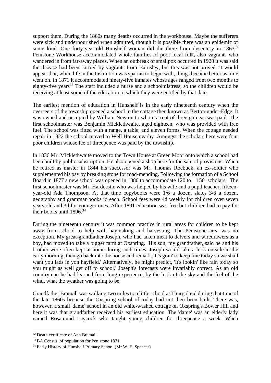support them. During the 1860s many deaths occurred in the workhouse. Maybe the sufferers were sick and undernourished when admitted, though it is possible there was an epidemic of some kind. One forty-year-old Hunshelf woman did die there from dysentery in 1863<sup>32</sup> Penistone Workhouse accommodated whole families of poor local folk, also vagrants who wandered in from far-away places. When an outbreak of smallpox occurred in 1928 it was said the disease had been carried by vagrants from Barnsley, but this was not proved. It would appear that, while life in the Institution was spartan to begin with, things became better as time went on. In 1871 it accommodated ninety-five inmates whose ages ranged from two months to eighty-five years<sup>33</sup> The staff included a nurse and a schoolmistress, so the children would be receiving at least some of the education to which they were entitled by that date.

The earliest mention of education in Hunshelf is in the early nineteenth century when the overseers of the township opened a school in the cottage then known as Berton-under-Edge. It was owned and occupied by William Newton to whom a rent of three guineas was paid. The first schoolmaster was Benjamin Micklethwaite, aged eighteen, who was provided with free fuel. The school was fitted with a range, a table, and eleven forms. When the cottage needed repair in 1822 the school moved to Well House nearby. Amongst the scholars here were four poor children whose fee of threepence was paid by the township.

In 1836 Mr. Micklethwaite moved to the Town House at Green Moor onto which a school had been built by public subscription. He also opened a shop here for the sale of provisions. When he retired as master in 1844 his successor was Mr. Thomas Roebuck, an ex-soldier who supplemented his pay by breaking stone for road-mending. Following the formation of a School Board in 1877 a new school was opened in 1880 to accommodate 120 to 150 scholars. The first schoolmaster was Mr. Hardcastle who was helped by his wife and a pupil teacher, fifteenyear-old Ada Thompson. At that time copybooks were 1/6 a dozen, slates 3/6 a dozen, geography and grammar books id each. School fees were 4d weekly for children over seven years old and 3d for younger ones. After 1891 education was free but children had to pay for their books until 1896.<sup>34</sup>

During the nineteenth century it was common practice in rural areas for children to be kept away from school to help with haymaking and harvesting. The Penistone area was no exception. My great-grandfather Joseph, who had taken meat to delvers and wiredrawers as a boy, had moved to take a bigger farm at Oxspring. His son, my grandfather, said he and his brother were often kept at home during such times. Joseph would take a look outside in the early morning, then go back into the house and remark, 'It's goin' to keep fine today so we shall want you lads in yon hayfield.' Alternatively, he might predict, 'It's lookin' like rain today so you might as well get off to school.' Joseph's forecasts were invariably correct. As an old countryman he had learned from long experience, by the look of the sky and the feel of the wind, what the weather was going to be.

Grandfather Bramall was walking two miles to a little school at Thurgoland during that time of the late 1860s because the Oxspring school of today had not then been built. There was, however, a small 'dame' school in an old white-washed cottage on Oxspring's Bower Hill and here it was that grandfather received his earliest education. The 'dame' was an elderly lady named Rosamund Laycock who taught young children for threepence a week. When

<sup>32</sup> Death certificate of Ann Bramall

<sup>&</sup>lt;sup>33</sup> BA Census of population for Penistone 1871

<sup>&</sup>lt;sup>34</sup> Early History of Hunshelf Primary School (Mr W. E. Spencer)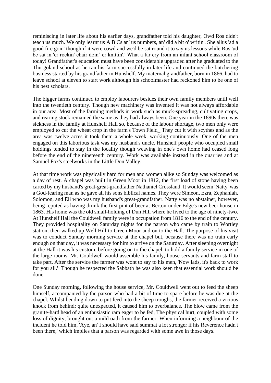reminiscing in later life about his earlier days, grandfather told his daughter, Owd Ros didn't teach us much. We only learnt us A B Cs an' us numbers, an' did a bit o' writin'. She allus 'ad a good fire goin' though if it were cowd and we'd be sat round it to say us lessons while Ros 'ud be sat in 'er rockin' chair doin' er knittin'.' What a far cry from an infant school classroom of today! Grandfather's education must have been considerable upgraded after he graduated to the Thurgoland school as he ran his farm successfully in later life and continued the butchering business started by his grandfather in Hunshelf. My maternal grandfather, born in 1866, had to leave school at eleven to start work although his schoolmaster had reckoned him to be one of his best scholars.

The bigger farms continued to employ labourers besides their own family members until well into the twentieth century. Though new machinery was invented it was not always affordable in our area. Most of the farming methods in work such as muck-spreading, cultivating crops, and rearing stock remained the same as they had always been. One year in the 1890s there was sickness in the family at Hunshelf Hall so, because of the labour shortage, two men only were employed to cut the wheat crop in the farm's Town Field\_ They cut it with scythes and as the area was twelve acres it took them a whole week, working continuously. One of the men engaged on this laborious task was my husband's uncle. Hunshelf people who occupied small holdings tended to stay in the locality though weaving in one's own home had ceased long before the end of the nineteenth century. Work was available instead in the quarries and at Samuel Fox's steelworks in the Little Don Valley.

At that time work was physically hard for men and women alike so Sunday was welcomed as a day of rest. A chapel was built in Green Moor in 1812, the first load of stone having been carted by my husband's great-great-grandfather Nathaniel Crossland. It would seem 'Natty' was a God-fearing man as he gave all his sons biblical names. They were Simeon, Ezra, Zephaniah, Solomon, and Eli who was my husband's great-grandfather. Natty was no abstainer, however, being reputed as having drunk the first pint of beer at Berton-under-Edge's new beer house in 1863. His home was the old small-holding of Dun Hill where he lived to the age of ninety-two. At Hunshelf Hall the Couldwell family were in occupation from 1816 to the end of the century. They provided hospitality on Saturday nights for the parson who came by train to Wortley station, then walked up Well Hill to Green Moor and on to the Hall. The purpose of his visit was to conduct Sunday morning service at the chapel but, because there was no train early enough on that day, it was necessary for him to arrive on the Saturday. After sleeping overnight at the Hall it was his custom, before going on to the chapel, to hold a family service in one of the large rooms. Mr. Couldwell would assemble his family, house-servants and farm staff to take part. After the service the farmer was wont to say to his men, 'Now lads, it's back to work for you all.' Though he respected the Sabbath he was also keen that essential work should be done.

One Sunday morning, following the house service, Mr. Couldwell went out to feed the sheep himself, accompanied by the parson who had a bit of time to spare before he was due at the chapel. Whilst bending down to put feed into the sheep troughs, the farmer received a vicious knock from behind; quite unexpected, it caused him to overbalance. The blow came from the granite-hard head of an enthusiastic ram eager to be fed, The physical hurt, coupled with some loss of dignity, brought out a mild oath from the farmer. When informing a neighbour of the incident he told him, 'Aye, an' I should have said summat a lot stronger if his Reverence hadn't been there,' which implies that a parson was regarded with some awe in those days.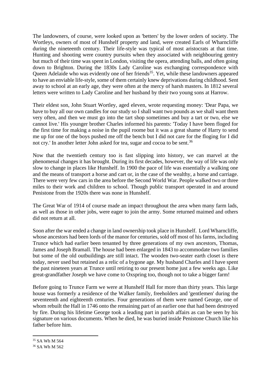The landowners, of course, were looked upon as 'betters' by the lower orders of society. The Wortleys, owners of most of Hunshelf property and land, were created Earls of Wharncliffe during the nineteenth century. Their life-style was typical of most aristocrats at that time. Hunting and shooting were country pursuits when they associated with neighbouring gentry but much of their time was spent in London, visiting the opera, attending balls, and often going down to Brighton. During the 1830s Lady Caroline was exchanging correspondence with Queen Adelaide who was evidently one of her friends<sup>35</sup>. Yet, while these landowners appeared to have an enviable life-style, some of them certainly knew deprivations during childhood. Sent away to school at an early age, they were often at the mercy of harsh masters. In 1812 several letters were written to Lady Caroline and her husband by their two young sons at Harrow.

Their eldest son, John Stuart Wortley, aged eleven, wrote requesting money: 'Dear Papa, we have to buy all our own candles for our study so I shall want two pounds as we shall want them very often, and then we must go into the tart shop sometimes and buy a tart or two, else we cannot live.' His younger brother Charles informed his parents: 'Today I have been floged for the first time for making a noise in the pupil roome but it was a great shame of Harry to send me up for one of the boys pushed me off the bench but I did not care for the floging for I did not cry.' In another letter John asked for tea, sugar and cocoa to be sent.<sup>36</sup>

Now that the twentieth century too is fast slipping into history, we can marvel at the phenomenal changes it has brought. During its first decades, however, the way of life was only slow to change in places like Hunshelf. In 1900 the pace of life was essentially a walking one and the means of transport a horse and cart or, in the case of the wealthy, a horse and carriage. There were very few cars in the area before the Second World War. People walked two or three miles to their work and children to school. Though public transport operated in and around Penistone from the 1920s there was none in Hunshelf.

The Great War of 1914 of course made an impact throughout the area when many farm lads, as well as those in other jobs, were eager to join the army. Some returned maimed and others did not return at all.

Soon after the war ended a change in land ownership took place in Hunshelf. Lord Wharncliffe, whose ancestors had been lords of the manor for centuries, sold off most of his farms, including Trunce which had earlier been tenanted by three generations of my own ancestors, Thomas, James and Joseph Bramall. The house had been enlarged in 1843 to accommodate two families but some of the old outbuildings are still intact. The wooden two-seater earth closet is there today, never used but retained as a relic of a bygone age. My husband Charles and I have spent the past nineteen years at Trunce until retiring to our present home just a few weeks ago. Like great-grandfather Joseph we have come to Oxspring too, though not to take a bigger farm!

Before going to Trunce Farm we were at Hunshelf Hall for more than thirty years. This large house was formerly a residence of the Walker family, freeholders and 'gentlemen' during the seventeenth and eighteenth centuries. Four generations of them were named George, one of whom rebuilt the Hall in 1746 onto the remaining part of an earlier one that had been destroyed by fire. During his lifetime George took a leading part in parish affairs as can be seen by his signature on various documents. When he died, he was buried inside Penistone Church like his father before him.

<sup>35</sup> SA Wh M 564

<sup>36</sup> SA Wh M 562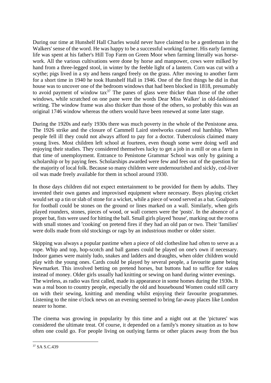During our time at Hunshelf Hall Charles would never have claimed to be a gentleman in the Walkers' sense of the word. He was happy to be a successful working farmer. His early farming life was spent at his father's Hill Top Farm on Green Moor when farming literally was horsework. All the various cultivations were done by horse and manpower, cows were milked by hand from a three-legged stool, in winter by the feeble light of a lantern. Corn was cut with a scythe; pigs lived in a sty and hens ranged freely on the grass. After moving to another farm for a short time in 1940 he took Hunshelf Hall in 1946. One of the first things he did in that house was to uncover one of the bedroom windows that had been blocked in 1818, presumably to avoid payment of window  $\text{tax}^{37}$  The panes of glass were thicker than those of the other windows, while scratched on one pane were the words Dear Miss Walker' in old-fashioned writing. The window frame was also thicker than those of the others, so probably this was an original 1746 window whereas the others would have been renewed at some later stage.

During the 1920s and early 1930s there was much poverty in the whole of the Penistone area. The 1926 strike and the closure of Cammell Laird steelworks caused real hardship. When people fell ill they could not always afford to pay for a doctor. Tuberculosis claimed many young lives. Most children left school at fourteen, even though some were doing well and enjoying their studies. They considered themselves lucky to get a job in a mill or on a farm in that time of unemployment. Entrance to Penistone Grammar School was only by gaining a scholarship or by paying fees. Scholarships awarded were few and fees out of the question for the majority of local folk. Because so many children were undernourished and sickly, cod-liver oil was made freely available for them in school around 1930.

In those days children did not expect entertainment to be provided for them by adults. They invented their own games and improvised equipment where necessary. Boys playing cricket would set up a tin or slab of stone for a wicket, while a piece of wood served as a bat. Goalposts for football could be stones on the ground or lines marked on a wall. Similarly, when girls played rounders, stones, pieces of wood, or wall corners were the 'posts'. In the absence of a proper bat, fists were used for hitting the ball. Small girls played 'house', marking out the rooms with small stones and 'cooking' on pretend fires if they had an old pan or two. Their 'families' were dolls made from old stockings or rags by an industrious mother or older sister.

Skipping was always a popular pastime when a piece of old clothesline had often to serve as a rope. Whip and top, hop-scotch and ball games could be played on one's own if necessary. Indoor games were mainly ludo, snakes and ladders and draughts, when older children would play with the young ones. Cards could be played by several people, a favourite game being Newmarket. This involved betting on pretend horses, but buttons had to suffice for stakes instead of money. Older girls usually had knitting or sewing on hand during winter evenings. The wireless, as radio was first called, made its appearance in some homes during the 1930s. It was a real boon to country people, especially the old and housebound Women could still carry on with their sewing, knitting and mending whilst enjoying their favourite programmes. Listening to the nine o'clock news on an evening seemed to bring far-away places like London nearer to home.

The cinema was growing in popularity by this time and a night out at the 'pictures' was considered the ultimate treat. Of course, it depended on a family's money situation as to how often one could go. For people living on outlying farms or other places away from the bus

<sup>37</sup> SA S.C.439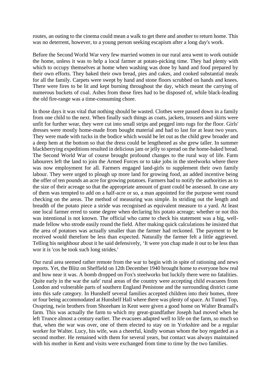routes, an outing to the cinema could mean a walk to get there and another to return home. This was no deterrent, however, to a young person seeking escapism after a long day's work.

Before the Second World War very few married women in our rural area went to work outside the home, unless it was to help a local farmer at potato-picking time. They had plenty with which to occupy themselves at home when washing was done by hand and food prepared by their own efforts. They baked their own bread, pies and cakes, and cooked substantial meals for all the family. Carpets were swept by hand and stone floors scrubbed on hands and knees. There were fires to be lit and kept burning throughout the day, which meant the carrying of numerous buckets of coal. Ashes from those fires had to be disposed of, while black-leading the old fire-range was a time-consuming chore.

In those days it was vital that nothing should be wasted. Clothes were passed down in a family from one child to the next. When finally such things as coats, jackets, trousers and skirts were unfit for further wear, they were cut into small strips and pegged into rugs for the floor. Girls' dresses were mostly home-made from bought material and had to last for at least two years. They were made with tucks in the bodice which would be let out as the child grew broader and a deep hem at the bottom so that the dress could be lengthened as she grew taller. In summer blackberrying expeditions resulted in delicious jam or jelly to spread on the home-baked bread. The Second World War of course brought profound changes to the rural way of life. Farm labourers left the land to join the Armed Forces or to take jobs in the steelworks where there was now employment for all. Farmers engaged land-girls to supplement their own family labour. They were urged to plough up more land for growing food, an added incentive being the offer of ten pounds an acre for growing potatoes. Farmers had to notify the authorities as to the size of their acreage so that the appropriate amount of grant could be assessed. In case any of them was tempted to add on a half-acre or so, a man appointed for the purpose went round checking on the areas. The method of measuring was simple. In striding out the length and breadth of the potato piece a stride was recognised as equivalent measure to a yard. At least one local farmer erred to some degree when declaring his potato acreage; whether or not this was intentional is not known. The official who came to check his statement was a big, wellmade fellow who strode easily round the field. After making quick calculations he insisted that the area of potatoes was actually smaller than the farmer had reckoned. The payment to be received would therefore be less than expected. Naturally the farmer felt a little aggrieved. Telling his neighbour about it he said defensively, 'It were yon chap made it out to be less than wor it is 'cos he took such long strides.'

Our rural area seemed rather remote from the war to begin with in spite of rationing and news reports. Yet, the Blitz on Sheffield on 12th December 1940 brought home to everyone how real and how near it was. A bomb dropped on Fox's steelworks but luckily there were no fatalities. Quite early in the war the safe' rural areas of the country were accepting child evacuees from London and vulnerable parts of southern England Penistone and the surrounding district came into this safe category. In Hunshelf several families accepted children into their homes, three or four being accommodated at Hunshelf Hall where there was plenty of space. At Tunnel Top, Oxspring, twin brothers from Shoreham in Kent were given a good home on Walter Bramall's farm. This was actually the farm to which my great-grandfather Joseph had moved when he left Trunce almost a century earlier. The evacuees adapted well to life on the farm, so much so that, when the war was over, one of them elected to stay on in Yorkshire and be a regular worker for Walter. Lucy, his wife, was a cheerful, kindly woman whom the boy regarded as a second mother. He remained with them for several years, but contact was always maintained with his mother in Kent and visits were exchanged from time to time by the two families.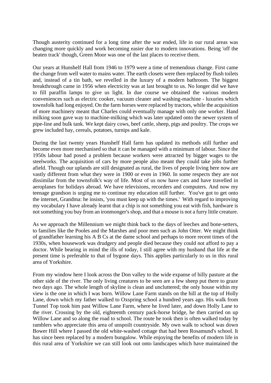Though austerity continued for a long time after the war ended, life in our rural areas was changing more quickly and work becoming easier due to modern innovations. Being 'off the beaten track' though, Green Moor was one of the last places to receive them.

Our years at Hunshelf Hall from 1946 to 1979 were a time of tremendous change. First came the change from well water to mains water. The earth closets were then replaced by flush toilets and, instead of a tin bath, we revelled in the luxury of a modern bathroom. The biggest breakthrough came in 1956 when electricity was at last brought to us. No longer did we have to fill paraffin lamps to give us light. In due course we obtained the various modern conveniences such as electric cooker, vacuum cleaner and washing-machine - luxuries which townsfolk had long enjoyed. On the farm horses were replaced by tractors, while the acquisition of more machinery meant that Charles could eventually manage with only one worker. Hand milking soon gave way to machine-milking which was later updated onto the newer system of pipe-line and bulk tank. We kept dairy cows, beef cattle, sheep, pigs and poultry. The crops we grew included hay, cereals, potatoes, turnips and kale.

During the last twenty years Hunshelf Hall farm has updated its methods still further and become even more mechanised so that it can be managed with a minimum of labour. Since the 1950s labour had posed a problem because workers were attracted by bigger wages to the steelworks. The acquisition of cars by more people also meant they could take jobs further afield. Though our uplands are still designated as rural, the lives of people living here now are vastly different from what they were in 1900 or even in 1960. In some respects they are not dissimilar from the townsfolk's way of life. Most of us now have cars and have travelled in aeroplanes for holidays abroad. We have televisions, recorders and computers. And now my teenage grandson is urging me to continue my education still further. You've got to get onto the internet, Grandma: he insists, 'you must keep up with the times.' With regard to improving my vocabulary I have already learnt that a chip is not something you eat with fish, hardware is not something you buy from an ironmonger's shop, and that a mouse is not a furry little creature.

As we approach the Millennium we might think back to the days of leeches and bone-setters, to families like the Pooles and the Marshes and poor men such as John Otter. We might think of grandfather learning his A B Cs at the dame school and perhaps to more recent times of the 1930s, when housework was drudgery and people died because they could not afford to pay a doctor. While bearing in mind the ills of today, I still agree with my husband that life at the present time is preferable to that of bygone days. This applies particularly to us in this rural area of Yorkshire.

From my window here I look across the Don valley to the wide expanse of hilly pasture at the other side of the river. The only living creatures to be seen are a few sheep put there to graze two days ago. The whole length of skyline is clean and uncluttered; the only house within my view is the one in which I was born. Willow Lane Farm stands on the hill at the top of Holly Lane, down which my father walked to Oxspring school a hundred years ago. His walk from Tunnel Top took him past Willow Lane Farm, where he lived later, and down Holly Lane to the river. Crossing by the old, eighteenth century pack-horse bridge, he then carried on up Willow Lane and so along the road to school. The route he took then is often walked today by ramblers who appreciate this area of unspoilt countryside. My own walk to school was down Bower Hill where I passed the old white-washed cottage that had been Rosamund's school. It has since been replaced by a modern bungalow. While enjoying the benefits of modern life in this rural area of Yorkshire we can still look out onto landscapes which have maintained the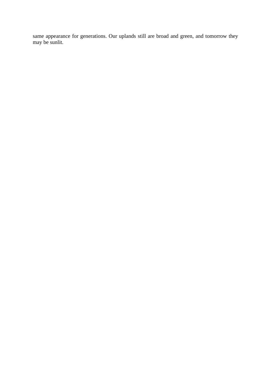same appearance for generations. Our uplands still are broad and green, and tomorrow they may be sunlit.